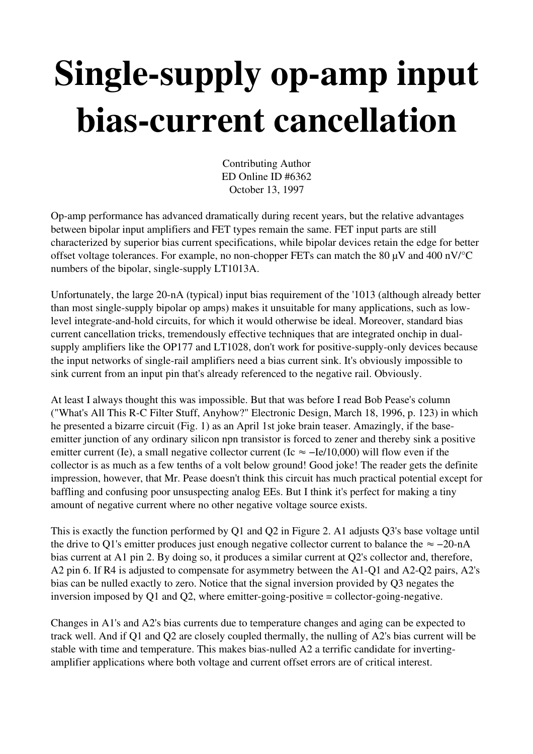## Single-supply op-amp input bias-current cancellation

Contributing Author ED Online ID #6362 October 13, 1997

Op-amp performance has advanced dramatically during recent years, but the relative advantages between bipolar input amplifiers and FET types remain the same. FET input parts are still characterized by superior bias current specifications, while bipolar devices retain the edge for better offset voltage tolerances. For example, no non-chopper FETs can match the 80  $\mu$ V and 400 nV/°C numbers of the bipolar, single-supply LT1013A.

Unfortunately, the large 20-nA (typical) input bias requirement of the '1013 (although already better than most single-supply bipolar op amps) makes it unsuitable for many applications, such as lowlevel integrate-and-hold circuits, for which it would otherwise be ideal. Moreover, standard bias current cancellation tricks, tremendously effective techniques that are integrated onchip in dualsupply amplifiers like the OP177 and LT1028, don't work for positive-supply-only devices because the input networks of single-rail amplifiers need a bias current sink. It's obviously impossible to sink current from an input pin that's already referenced to the negative rail. Obviously.

At least I always thought this was impossible. But that was before I read Bob Pease's column ("What's All This R-C Filter Stuff, Anyhow?" Electronic Design, March 18, 1996, p. 123) in which he presented a bizarre circuit (Fig. 1) as an April 1st joke brain teaser. Amazingly, if the baseemitter junction of any ordinary silicon npn transistor is forced to zener and thereby sink a positive emitter current (Ie), a small negative collector current (Ic  $\approx$  -Ie/10,000) will flow even if the collector is as much as a few tenths of a volt below ground! Good joke! The reader gets the definite impression, however, that Mr. Pease doesn't think this circuit has much practical potential except for baffling and confusing poor unsuspecting analog EEs. But I think it's perfect for making a tiny amount of negative current where no other negative voltage source exists.

This is exactly the function performed by Q1 and Q2 in Figure 2. A1 adjusts Q3's base voltage until the drive to Q1's emitter produces just enough negative collector current to balance the  $\approx -20$ -nA bias current at A1 pin 2. By doing so, it produces a similar current at Q2's collector and, therefore, A2 pin 6. If R4 is adjusted to compensate for asymmetry between the A1-O1 and A2-O2 pairs, A2's bias can be nulled exactly to zero. Notice that the signal inversion provided by Q3 negates the inversion imposed by Q1 and Q2, where emitter-going-positive  $=$  collector-going-negative.

Changes in A1's and A2's bias currents due to temperature changes and aging can be expected to track well. And if Q1 and Q2 are closely coupled thermally, the nulling of A2's bias current will be stable with time and temperature. This makes bias-nulled A2 a terrific candidate for invertingamplifier applications where both voltage and current offset errors are of critical interest.